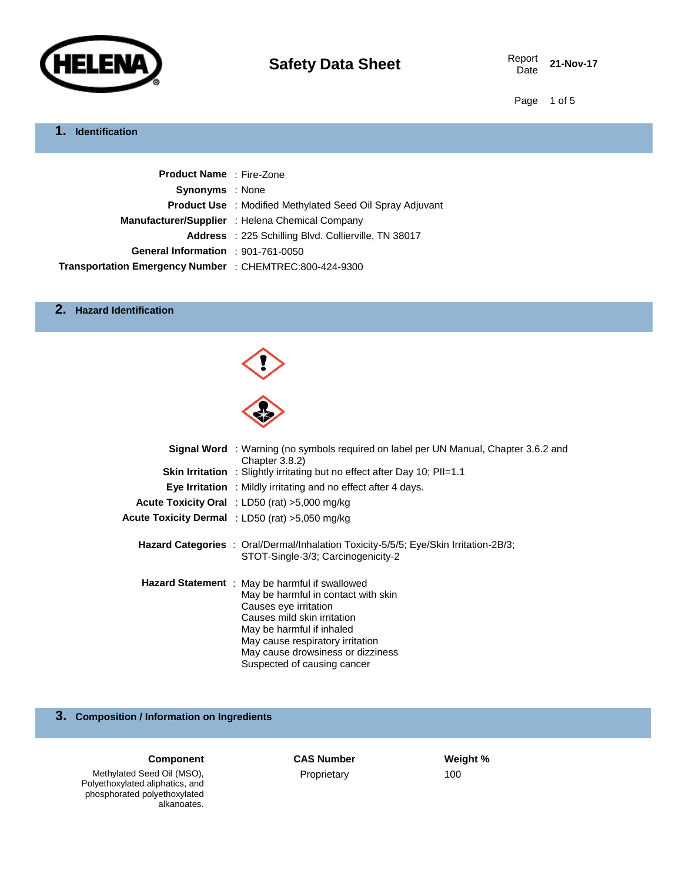

21-Nov-17

Page 1 of 5

#### **1. Identification**

| <b>Product Name</b> : Fire-Zone                         |                                                                  |
|---------------------------------------------------------|------------------------------------------------------------------|
| <b>Synonyms</b> : None                                  |                                                                  |
|                                                         | <b>Product Use</b> : Modified Methylated Seed Oil Spray Adjuvant |
|                                                         | Manufacturer/Supplier : Helena Chemical Company                  |
|                                                         | <b>Address</b> : 225 Schilling Blvd. Collierville, TN 38017      |
| General Information : 901-761-0050                      |                                                                  |
| Transportation Emergency Number : CHEMTREC:800-424-9300 |                                                                  |

#### **2. Hazard Identification**



| <b>Signal Word</b> : Warning (no symbols required on label per UN Manual, Chapter 3.6.2 and<br>Chapter 3.8.2)                                                                                                                                                                      |
|------------------------------------------------------------------------------------------------------------------------------------------------------------------------------------------------------------------------------------------------------------------------------------|
| <b>Skin Irritation</b> : Slightly irritating but no effect after Day 10; PII=1.1                                                                                                                                                                                                   |
| Eye Irritation : Mildly irritating and no effect after 4 days.                                                                                                                                                                                                                     |
| Acute Toxicity Oral : LD50 (rat) >5,000 mg/kg                                                                                                                                                                                                                                      |
| <b>Acute Toxicity Dermal</b> : LD50 (rat) >5,050 mg/kg                                                                                                                                                                                                                             |
| <b>Hazard Categories</b> : Oral/Dermal/Inhalation Toxicity-5/5/5; Eye/Skin Irritation-2B/3;<br>STOT-Single-3/3; Carcinogenicity-2                                                                                                                                                  |
| Hazard Statement : May be harmful if swallowed<br>May be harmful in contact with skin<br>Causes eye irritation<br>Causes mild skin irritation<br>May be harmful if inhaled<br>May cause respiratory irritation<br>May cause drowsiness or dizziness<br>Suspected of causing cancer |

## **3. Composition / Information on Ingredients**

#### **COMPONENT CAS Number 6 ASS Number Weight %**

Proprietary 100

Methylated Seed Oil (MSO), Polyethoxylated aliphatics, and phosphorated polyethoxylated alkanoates.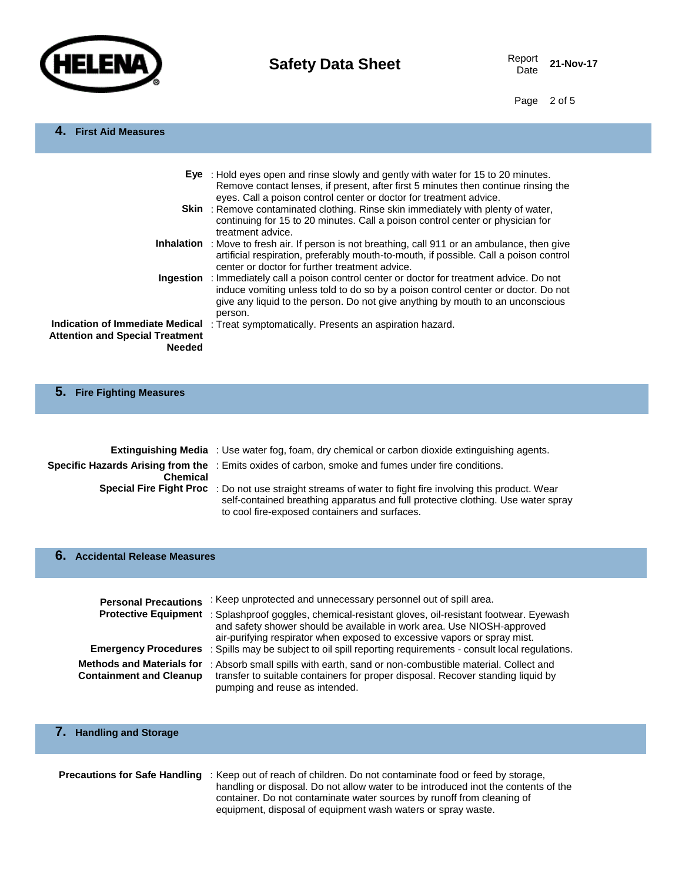

Date **21-Nov-17**

Page 2 of 5

# **4. First Aid Measures**

|                                                                                            | Eye : Hold eyes open and rinse slowly and gently with water for 15 to 20 minutes.<br>Remove contact lenses, if present, after first 5 minutes then continue rinsing the<br>eyes. Call a poison control center or doctor for treatment advice.                       |
|--------------------------------------------------------------------------------------------|---------------------------------------------------------------------------------------------------------------------------------------------------------------------------------------------------------------------------------------------------------------------|
|                                                                                            | <b>Skin</b> : Remove contaminated clothing. Rinse skin immediately with plenty of water,<br>continuing for 15 to 20 minutes. Call a poison control center or physician for<br>treatment advice.                                                                     |
|                                                                                            | <b>Inhalation</b> : Move to fresh air. If person is not breathing, call 911 or an ambulance, then give<br>artificial respiration, preferably mouth-to-mouth, if possible. Call a poison control<br>center or doctor for further treatment advice.                   |
| Ingestion                                                                                  | : Immediately call a poison control center or doctor for treatment advice. Do not<br>induce vomiting unless told to do so by a poison control center or doctor. Do not<br>give any liquid to the person. Do not give anything by mouth to an unconscious<br>person. |
| Indication of Immediate Medical<br><b>Attention and Special Treatment</b><br><b>Needed</b> | : Treat symptomatically. Presents an aspiration hazard.                                                                                                                                                                                                             |

|  | 5. Fire Fighting Measures |  |  |  |
|--|---------------------------|--|--|--|
|--|---------------------------|--|--|--|

|                 | <b>Extinguishing Media</b> : Use water fog, foam, dry chemical or carbon dioxide extinguishing agents.                                                                                                                                         |
|-----------------|------------------------------------------------------------------------------------------------------------------------------------------------------------------------------------------------------------------------------------------------|
| <b>Chemical</b> | Specific Hazards Arising from the : Emits oxides of carbon, smoke and fumes under fire conditions.                                                                                                                                             |
|                 | Special Fire Fight Proc : Do not use straight streams of water to fight fire involving this product. Wear<br>self-contained breathing apparatus and full protective clothing. Use water spray<br>to cool fire-exposed containers and surfaces. |

#### **6. Accidental Release Measures**

| <b>Personal Precautions</b>                                        | : Keep unprotected and unnecessary personnel out of spill area.                                                                                                                                                                         |
|--------------------------------------------------------------------|-----------------------------------------------------------------------------------------------------------------------------------------------------------------------------------------------------------------------------------------|
| <b>Protective Equipment</b>                                        | : Splashproof goggles, chemical-resistant gloves, oil-resistant footwear. Eyewash<br>and safety shower should be available in work area. Use NIOSH-approved<br>air-purifying respirator when exposed to excessive vapors or spray mist. |
|                                                                    | <b>Emergency Procedures</b> : Spills may be subject to oil spill reporting requirements - consult local regulations.                                                                                                                    |
| <b>Methods and Materials for</b><br><b>Containment and Cleanup</b> | : Absorb small spills with earth, sand or non-combustible material. Collect and<br>transfer to suitable containers for proper disposal. Recover standing liquid by<br>pumping and reuse as intended.                                    |

# **7. Handling and Storage**

| <b>Precautions for Safe Handling</b> : Keep out of reach of children. Do not contaminate food or feed by storage, |
|-------------------------------------------------------------------------------------------------------------------|
| handling or disposal. Do not allow water to be introduced inot the contents of the                                |
| container. Do not contaminate water sources by runoff from cleaning of                                            |
| equipment, disposal of equipment wash waters or spray waste.                                                      |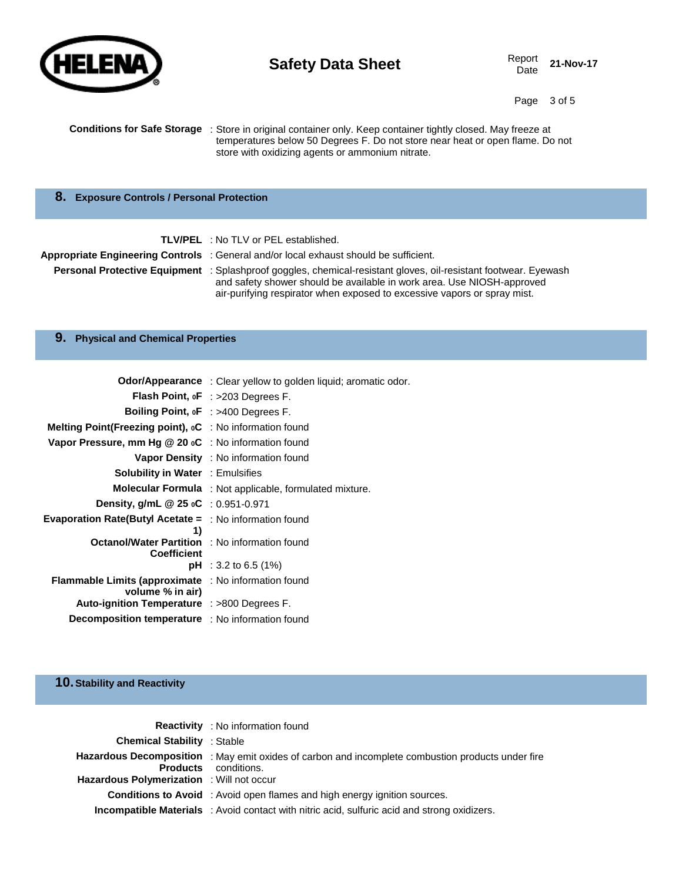

# **Safety Data Sheet** Report Report

Date **21-Nov-17**

Page 3 of 5

| <b>Conditions for Safe Storage</b> : Store in original container only. Keep container tightly closed. May freeze at |
|---------------------------------------------------------------------------------------------------------------------|
| temperatures below 50 Degrees F. Do not store near heat or open flame. Do not                                       |
| store with oxidizing agents or ammonium nitrate.                                                                    |

### **8. Exposure Controls / Personal Protection**

| <b>TLV/PEL</b> : No TLV or PEL established.                                                                                                                                                                                                                                  |
|------------------------------------------------------------------------------------------------------------------------------------------------------------------------------------------------------------------------------------------------------------------------------|
| Appropriate Engineering Controls: General and/or local exhaust should be sufficient.                                                                                                                                                                                         |
| <b>Personal Protective Equipment</b> : Splashproof goggles, chemical-resistant gloves, oil-resistant footwear. Eyewash<br>and safety shower should be available in work area. Use NIOSH-approved<br>air-purifying respirator when exposed to excessive vapors or spray mist. |

### **9. Physical and Chemical Properties**

|                                                                                    | <b>Odor/Appearance</b> : Clear yellow to golden liquid; aromatic odor. |
|------------------------------------------------------------------------------------|------------------------------------------------------------------------|
|                                                                                    | <b>Flash Point, oF</b> : $>203$ Degrees F.                             |
|                                                                                    | Boiling Point, oF : >400 Degrees F.                                    |
| <b>Melting Point (Freezing point), <math>{}_{0}C</math></b> : No information found |                                                                        |
| <b>Vapor Pressure, mm Hg <math>@</math> 20 oC</b> : No information found           |                                                                        |
|                                                                                    | <b>Vapor Density</b> : No information found                            |
| <b>Solubility in Water</b> : Emulsifies                                            |                                                                        |
|                                                                                    | Molecular Formula : Not applicable, formulated mixture.                |
| <b>Density, g/mL @ 25 oC</b> : $0.951 - 0.971$                                     |                                                                        |
| <b>Evaporation Rate(Butyl Acetate =</b> $\therefore$ No information found<br>1)    |                                                                        |
| <b>Octanol/Water Partition</b> : No information found<br><b>Coefficient</b>        |                                                                        |
|                                                                                    | <b>pH</b> : 3.2 to 6.5 (1%)                                            |
| <b>Flammable Limits (approximate</b> : No information found<br>volume % in air)    |                                                                        |
| Auto-ignition Temperature : >800 Degrees F.                                        |                                                                        |
| <b>Decomposition temperature</b> : No information found                            |                                                                        |

### **10.Stability and Reactivity**

|                                                  | <b>Reactivity</b> : No information found                                                                                                |
|--------------------------------------------------|-----------------------------------------------------------------------------------------------------------------------------------------|
| <b>Chemical Stability : Stable</b>               |                                                                                                                                         |
| <b>Hazardous Polymerization</b> : Will not occur | <b>Hazardous Decomposition</b> : May emit oxides of carbon and incomplete combustion products under fire<br><b>Products</b> conditions. |
|                                                  | <b>Conditions to Avoid</b> : Avoid open flames and high energy ignition sources.                                                        |
|                                                  | Incompatible Materials : Avoid contact with nitric acid, sulfuric acid and strong oxidizers.                                            |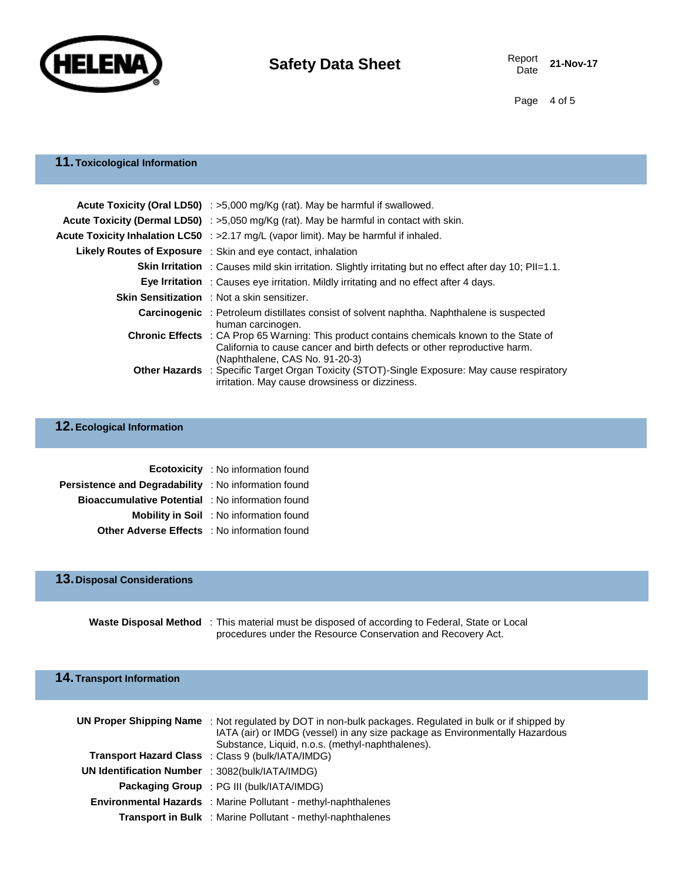

Page 4 of 5

## **11.Toxicological Information**

| <b>Acute Toxicity (Oral LD50)</b> : $>5,000$ mg/Kg (rat). May be harmful if swallowed.                                                                                                                           |
|------------------------------------------------------------------------------------------------------------------------------------------------------------------------------------------------------------------|
| <b>Acute Toxicity (Dermal LD50)</b> : $>5,050$ mg/Kg (rat). May be harmful in contact with skin.                                                                                                                 |
| <b>Acute Toxicity Inhalation LC50</b> : $>2.17$ mg/L (vapor limit). May be harmful if inhaled.                                                                                                                   |
| <b>Likely Routes of Exposure</b> : Skin and eye contact, inhalation                                                                                                                                              |
| <b>Skin Irritation</b> : Causes mild skin irritation. Slightly irritating but no effect after day 10; PII=1.1.                                                                                                   |
| <b>Eye Irritation</b> : Causes eye irritation. Mildly irritating and no effect after 4 days.                                                                                                                     |
| <b>Skin Sensitization</b> : Not a skin sensitizer.                                                                                                                                                               |
| <b>Carcinogenic</b> : Petroleum distillates consist of solvent naphtha. Naphthalene is suspected<br>human carcinogen.                                                                                            |
| <b>Chronic Effects</b> : CA Prop 65 Warning: This product contains chemicals known to the State of<br>California to cause cancer and birth defects or other reproductive harm.<br>(Naphthalene, CAS No. 91-20-3) |
| <b>Other Hazards</b> : Specific Target Organ Toxicity (STOT)-Single Exposure: May cause respiratory<br>irritation. May cause drowsiness or dizziness.                                                            |

### **12.Ecological Information**

|                                                             | <b>Ecotoxicity</b> : No information found      |
|-------------------------------------------------------------|------------------------------------------------|
| <b>Persistence and Degradability</b> : No information found |                                                |
| Bioaccumulative Potential : No information found            |                                                |
|                                                             | <b>Mobility in Soil</b> : No information found |
| <b>Other Adverse Effects</b> : No information found         |                                                |

### **13.Disposal Considerations**

**Waste Disposal Method** : This material must be disposed of according to Federal, State or Local procedures under the Resource Conservation and Recovery Act.

### **14.Transport Information**

|                                                 | <b>UN Proper Shipping Name</b> : Not regulated by DOT in non-bulk packages. Regulated in bulk or if shipped by<br>IATA (air) or IMDG (vessel) in any size package as Environmentally Hazardous<br>Substance, Liquid, n.o.s. (methyl-naphthalenes). |
|-------------------------------------------------|----------------------------------------------------------------------------------------------------------------------------------------------------------------------------------------------------------------------------------------------------|
|                                                 | <b>Transport Hazard Class</b> : Class 9 (bulk/IATA/IMDG)                                                                                                                                                                                           |
| UN Identification Number : 3082(bulk/IATA/IMDG) |                                                                                                                                                                                                                                                    |
|                                                 | <b>Packaging Group</b> : PG III (bulk/IATA/IMDG)                                                                                                                                                                                                   |
|                                                 | <b>Environmental Hazards</b> : Marine Pollutant - methyl-naphthalenes                                                                                                                                                                              |
|                                                 | Transport in Bulk : Marine Pollutant - methyl-naphthalenes                                                                                                                                                                                         |